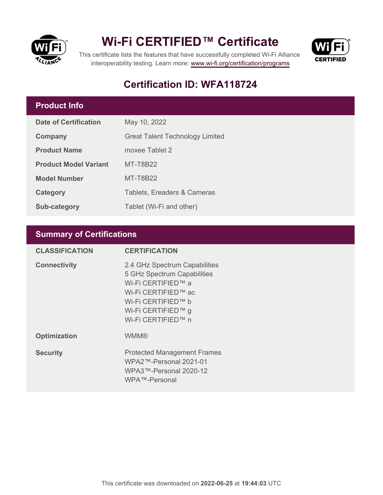

# **Wi-Fi CERTIFIED™ Certificate**



This certificate lists the features that have successfully completed Wi-Fi Alliance interoperability testing. Learn more:<www.wi-fi.org/certification/programs>

## **Certification ID: WFA118724**

## **Product Info**

| <b>Date of Certification</b> | May 10, 2022                           |
|------------------------------|----------------------------------------|
| Company                      | <b>Great Talent Technology Limited</b> |
| <b>Product Name</b>          | moxee Tablet 2                         |
| <b>Product Model Variant</b> | <b>MT-T8B22</b>                        |
| <b>Model Number</b>          | <b>MT-T8B22</b>                        |
| Category                     | <b>Tablets, Ereaders &amp; Cameras</b> |
| <b>Sub-category</b>          | Tablet (Wi-Fi and other)               |

### **Summary of Certifications**

| <b>CLASSIFICATION</b> | <b>CERTIFICATION</b>                                                                                                                                                        |
|-----------------------|-----------------------------------------------------------------------------------------------------------------------------------------------------------------------------|
| <b>Connectivity</b>   | 2.4 GHz Spectrum Capabilities<br>5 GHz Spectrum Capabilities<br>Wi-Fi CERTIFIED™ a<br>Wi-Fi CERTIFIED™ ac<br>Wi-Fi CERTIFIED™ b<br>Wi-Fi CERTIFIED™ g<br>Wi-Fi CERTIFIED™ n |
| <b>Optimization</b>   | <b>WMM®</b>                                                                                                                                                                 |
| <b>Security</b>       | <b>Protected Management Frames</b><br>WPA2™-Personal 2021-01<br>WPA3™-Personal 2020-12<br>WPA™-Personal                                                                     |